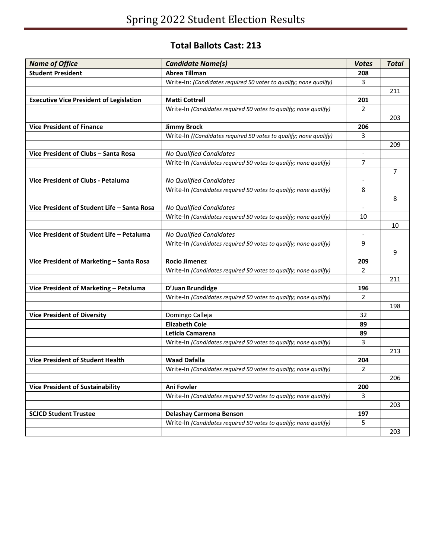## **Total Ballots Cast: 213**

| <b>Name of Office</b>                          | <b>Candidate Name(s)</b>                                          | <b>Votes</b>   | <b>Total</b> |
|------------------------------------------------|-------------------------------------------------------------------|----------------|--------------|
| <b>Student President</b>                       | <b>Abrea Tillman</b>                                              | 208            |              |
|                                                | Write-In: (Candidates required 50 votes to qualify; none qualify) | 3              |              |
|                                                |                                                                   |                | 211          |
| <b>Executive Vice President of Legislation</b> | <b>Matti Cottrell</b>                                             | 201            |              |
|                                                | Write-In (Candidates required 50 votes to qualify; none qualify)  | $\overline{2}$ |              |
|                                                |                                                                   |                | 203          |
| <b>Vice President of Finance</b>               | <b>Jimmy Brock</b>                                                | 206            |              |
|                                                | Write-In ((Candidates required 50 votes to qualify; none qualify) | 3              |              |
|                                                |                                                                   |                | 209          |
| Vice President of Clubs - Santa Rosa           | No Qualified Candidates                                           | $\blacksquare$ |              |
|                                                | Write-In (Candidates required 50 votes to qualify; none qualify)  | 7              |              |
|                                                |                                                                   |                | 7            |
| <b>Vice President of Clubs - Petaluma</b>      | No Qualified Candidates                                           |                |              |
|                                                | Write-In (Candidates required 50 votes to qualify; none qualify)  | 8              |              |
|                                                |                                                                   |                | 8            |
| Vice President of Student Life - Santa Rosa    | No Qualified Candidates                                           |                |              |
|                                                | Write-In (Candidates required 50 votes to qualify; none qualify)  | 10             |              |
|                                                |                                                                   |                | 10           |
| Vice President of Student Life - Petaluma      | No Qualified Candidates                                           |                |              |
|                                                | Write-In (Candidates required 50 votes to qualify; none qualify)  | 9              |              |
|                                                |                                                                   |                | 9            |
| Vice President of Marketing - Santa Rosa       | <b>Rocio Jimenez</b>                                              | 209            |              |
|                                                | Write-In (Candidates required 50 votes to qualify; none qualify)  | 2              |              |
|                                                |                                                                   |                | 211          |
| Vice President of Marketing - Petaluma         | D'Juan Brundidge                                                  | 196            |              |
|                                                | Write-In (Candidates required 50 votes to qualify; none qualify)  | $\overline{2}$ |              |
|                                                |                                                                   |                | 198          |
| <b>Vice President of Diversity</b>             | Domingo Calleja                                                   | 32             |              |
|                                                | <b>Elizabeth Cole</b>                                             | 89             |              |
|                                                | Leticia Camarena                                                  | 89             |              |
|                                                | Write-In (Candidates required 50 votes to qualify; none qualify)  | 3              |              |
|                                                |                                                                   |                | 213          |
| <b>Vice President of Student Health</b>        | <b>Waad Dafalla</b>                                               | 204            |              |
|                                                | Write-In (Candidates required 50 votes to qualify; none qualify)  | 2              |              |
|                                                |                                                                   |                | 206          |
| <b>Vice President of Sustainability</b>        | Ani Fowler                                                        | 200            |              |
|                                                | Write-In (Candidates required 50 votes to qualify; none qualify)  | 3              |              |
|                                                |                                                                   |                | 203          |
| <b>SCJCD Student Trustee</b>                   | <b>Delashay Carmona Benson</b>                                    | 197            |              |
|                                                | Write-In (Candidates required 50 votes to qualify; none qualify)  | 5              |              |
|                                                |                                                                   |                | 203          |